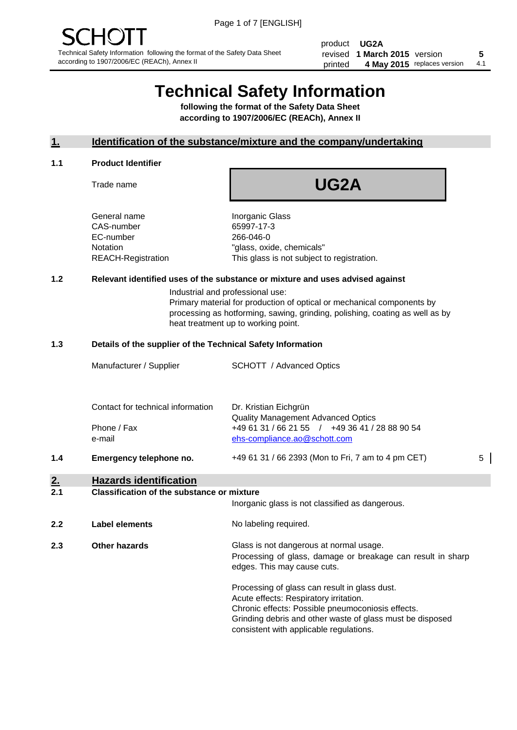product **UG2A** revised **5 1 March 2015** version printed 4 May 2015 replaces version 4.1

# **Technical Safety Information**

**following the format of the Safety Data Sheet according to 1907/2006/EC (REACh), Annex II**

# **1. Identification of the substance/mixture and the company/undertaking**

#### **1.1 Product Identifier**

Trade name

**UG2A**

General name **Inorganic Glass** CAS-number 65997-17-3 EC-number 266-046-0

Notation "glass, oxide, chemicals" REACH-Registration This glass is not subject to registration.

# **1.2 Relevant identified uses of the substance or mixture and uses advised against**

Industrial and professional use: Primary material for production of optical or mechanical components by processing as hotforming, sawing, grinding, polishing, coating as well as by heat treatment up to working point.

#### **1.3 Details of the supplier of the Technical Safety Information**

**2.2 Label elements** No labeling required.

|     | Manufacturer / Supplier                                    | <b>SCHOTT</b> / Advanced Optics                                                                                                                      |   |
|-----|------------------------------------------------------------|------------------------------------------------------------------------------------------------------------------------------------------------------|---|
|     | Contact for technical information<br>Phone / Fax<br>e-mail | Dr. Kristian Eichgrün<br><b>Quality Management Advanced Optics</b><br>+49 61 31 / 66 21 55 / +49 36 41 / 28 88 90 54<br>ehs-compliance.ao@schott.com |   |
| 1.4 | Emergency telephone no.                                    | +49 61 31 / 66 2393 (Mon to Fri, 7 am to 4 pm CET)                                                                                                   | 5 |
| 2.  | <b>Hazards identification</b>                              |                                                                                                                                                      |   |
| 2.1 | <b>Classification of the substance or mixture</b>          | Inorganic glass is not classified as dangerous.                                                                                                      |   |

**2.3 Other hazards Glass is not dangerous at normal usage.** Processing of glass, damage or breakage can result in sharp edges. This may cause cuts.

> Processing of glass can result in glass dust. Acute effects: Respiratory irritation. Chronic effects: Possible pneumoconiosis effects. Grinding debris and other waste of glass must be disposed consistent with applicable regulations.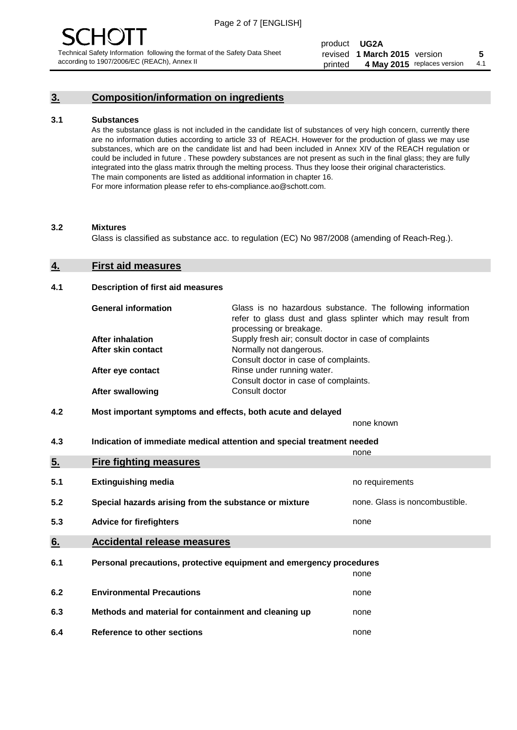# **3. Composition/information on ingredients**

#### **3.1 Substances**

As the substance glass is not included in the candidate list of substances of very high concern, currently there are no information duties according to article 33 of REACH. However for the production of glass we may use substances, which are on the candidate list and had been included in Annex XIV of the REACH regulation or could be included in future . These powdery substances are not present as such in the final glass; they are fully integrated into the glass matrix through the melting process. Thus they loose their original characteristics. The main components are listed as additional information in chapter 16. For more information please refer to ehs-compliance.ao@schott.com.

#### **3.2 Mixtures**

Glass is classified as substance acc. to regulation (EC) No 987/2008 (amending of Reach-Reg.).

#### **4. First aid measures**

#### **4.1 Description of first aid measures**

| <b>General information</b> | Glass is no hazardous substance. The following information<br>refer to glass dust and glass splinter which may result from<br>processing or breakage. |  |  |
|----------------------------|-------------------------------------------------------------------------------------------------------------------------------------------------------|--|--|
| <b>After inhalation</b>    | Supply fresh air; consult doctor in case of complaints                                                                                                |  |  |
| After skin contact         | Normally not dangerous.                                                                                                                               |  |  |
|                            | Consult doctor in case of complaints.                                                                                                                 |  |  |
| After eye contact          | Rinse under running water.                                                                                                                            |  |  |
|                            | Consult doctor in case of complaints.                                                                                                                 |  |  |
| <b>After swallowing</b>    | Consult doctor                                                                                                                                        |  |  |

## **4.2 Most important symptoms and effects, both acute and delayed**

none known

**4.3 Indication of immediate medical attention and special treatment needed** 

|     |                                                                     | none                           |  |  |
|-----|---------------------------------------------------------------------|--------------------------------|--|--|
| 5.  | <b>Fire fighting measures</b>                                       |                                |  |  |
| 5.1 | <b>Extinguishing media</b>                                          | no requirements                |  |  |
| 5.2 | Special hazards arising from the substance or mixture               | none. Glass is noncombustible. |  |  |
| 5.3 | <b>Advice for firefighters</b>                                      | none                           |  |  |
| 6.  | <b>Accidental release measures</b>                                  |                                |  |  |
| 6.1 | Personal precautions, protective equipment and emergency procedures |                                |  |  |
|     |                                                                     | none                           |  |  |
| 6.2 | <b>Environmental Precautions</b>                                    | none                           |  |  |
| 6.3 | Methods and material for containment and cleaning up                | none                           |  |  |
| 6.4 | Reference to other sections                                         | none                           |  |  |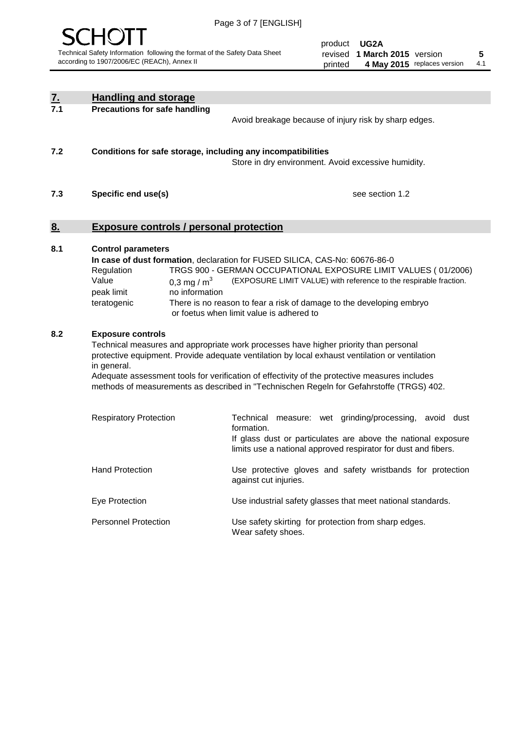

product **UG2A** revised **5 1 March 2015** version printed 4 May 2015 replaces version 4.1

| <u>7.</u> | <b>Handling and storage</b>                                                                                      |                                                                                                                                                                                                                                                                                                                                                                                                                                               |
|-----------|------------------------------------------------------------------------------------------------------------------|-----------------------------------------------------------------------------------------------------------------------------------------------------------------------------------------------------------------------------------------------------------------------------------------------------------------------------------------------------------------------------------------------------------------------------------------------|
| 7.1       | <b>Precautions for safe handling</b>                                                                             | Avoid breakage because of injury risk by sharp edges.                                                                                                                                                                                                                                                                                                                                                                                         |
| 7.2       | Conditions for safe storage, including any incompatibilities                                                     | Store in dry environment. Avoid excessive humidity.                                                                                                                                                                                                                                                                                                                                                                                           |
| 7.3       | Specific end use(s)                                                                                              | see section 1.2                                                                                                                                                                                                                                                                                                                                                                                                                               |
| <u>8.</u> | <b>Exposure controls / personal protection</b>                                                                   |                                                                                                                                                                                                                                                                                                                                                                                                                                               |
| 8.1       | <b>Control parameters</b><br>Regulation<br>Value<br>0,3 mg / $m3$<br>no information<br>peak limit<br>teratogenic | In case of dust formation, declaration for FUSED SILICA, CAS-No: 60676-86-0<br>TRGS 900 - GERMAN OCCUPATIONAL EXPOSURE LIMIT VALUES (01/2006)<br>(EXPOSURE LIMIT VALUE) with reference to the respirable fraction.<br>There is no reason to fear a risk of damage to the developing embryo<br>or foetus when limit value is adhered to                                                                                                        |
| 8.2       | <b>Exposure controls</b><br>in general.<br><b>Respiratory Protection</b>                                         | Technical measures and appropriate work processes have higher priority than personal<br>protective equipment. Provide adequate ventilation by local exhaust ventilation or ventilation<br>Adequate assessment tools for verification of effectivity of the protective measures includes<br>methods of measurements as described in "Technischen Regeln for Gefahrstoffe (TRGS) 402.<br>Technical measure: wet grinding/processing, avoid dust |
|           |                                                                                                                  | formation.<br>If glass dust or particulates are above the national exposure<br>limits use a national approved respirator for dust and fibers.                                                                                                                                                                                                                                                                                                 |
|           | <b>Hand Protection</b>                                                                                           | Use protective gloves and safety wristbands for protection<br>against cut injuries.                                                                                                                                                                                                                                                                                                                                                           |
|           | Eye Protection                                                                                                   | Use industrial safety glasses that meet national standards.                                                                                                                                                                                                                                                                                                                                                                                   |
|           | <b>Personnel Protection</b>                                                                                      | Use safety skirting for protection from sharp edges.<br>Wear safety shoes.                                                                                                                                                                                                                                                                                                                                                                    |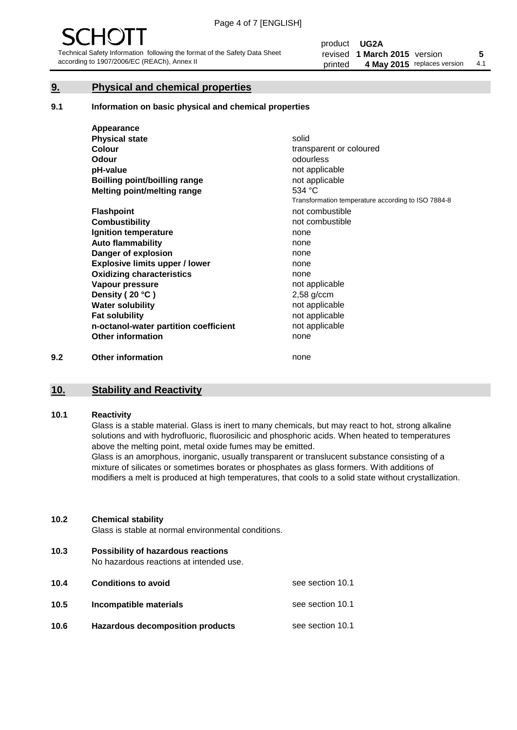# **9. Physical and chemical properties**

#### **9.1 Information on basic physical and chemical properties**

|     | Appearance                            |                                                    |
|-----|---------------------------------------|----------------------------------------------------|
|     | <b>Physical state</b>                 | solid                                              |
|     | <b>Colour</b>                         | transparent or coloured                            |
|     | <b>Odour</b>                          | odourless                                          |
|     | pH-value                              | not applicable                                     |
|     | <b>Boilling point/boilling range</b>  | not applicable                                     |
|     | Melting point/melting range           | 534 °C                                             |
|     |                                       | Transformation temperature according to ISO 7884-8 |
|     | <b>Flashpoint</b>                     | not combustible                                    |
|     | <b>Combustibility</b>                 | not combustible                                    |
|     | Ignition temperature                  | none                                               |
|     | <b>Auto flammability</b>              | none                                               |
|     | Danger of explosion                   | none                                               |
|     | <b>Explosive limits upper / lower</b> | none                                               |
|     | <b>Oxidizing characteristics</b>      | none                                               |
|     | Vapour pressure                       | not applicable                                     |
|     | Density (20 °C)                       | $2,58$ g/ccm                                       |
|     | <b>Water solubility</b>               | not applicable                                     |
|     | <b>Fat solubility</b>                 | not applicable                                     |
|     | n-octanol-water partition coefficient | not applicable                                     |
|     | <b>Other information</b>              | none                                               |
| 9.2 | <b>Other information</b>              | none                                               |

# **10. Stability and Reactivity**

#### **10.1 Reactivity**

Glass is a stable material. Glass is inert to many chemicals, but may react to hot, strong alkaline solutions and with hydrofluoric, fluorosilicic and phosphoric acids. When heated to temperatures above the melting point, metal oxide fumes may be emitted.

Glass is an amorphous, inorganic, usually transparent or translucent substance consisting of a mixture of silicates or sometimes borates or phosphates as glass formers. With additions of modifiers a melt is produced at high temperatures, that cools to a solid state without crystallization.

#### **10.2 Chemical stability**

Glass is stable at normal environmental conditions.

**10.3 Possibility of hazardous reactions** 

No hazardous reactions at intended use.

| 10.4 | <b>Conditions to avoid</b>              | see section 10.1 |
|------|-----------------------------------------|------------------|
| 10.5 | Incompatible materials                  | see section 10.1 |
| 10.6 | <b>Hazardous decomposition products</b> | see section 10.1 |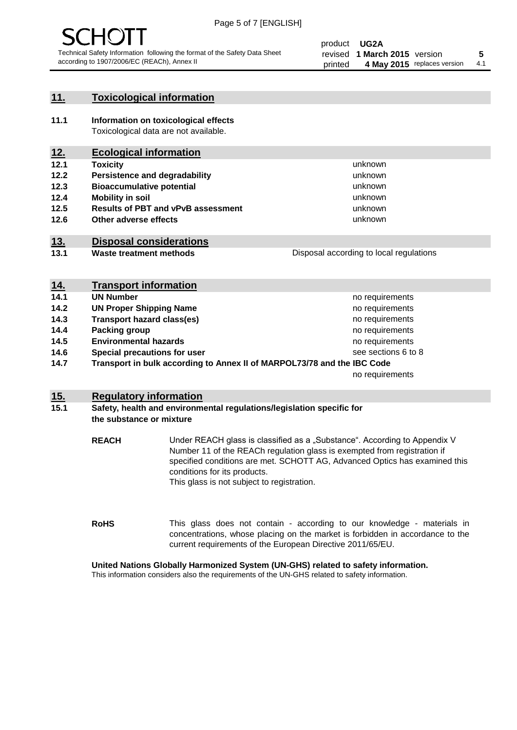

# **11. Toxicological information**

**11.1 Information on toxicological effects** Toxicological data are not available.

# **12. Ecological information**

- **12.1 Toxicity**
- **12.2 Persistence and degradability**
- **12.3 Bioaccumulative potential**
- **12.4 Mobility in soil**
- **12.5 Results of PBT and vPvB assessment**
- **12.6 Other adverse effects**

# **13. Disposal considerations**

**13.1 Waste treatment methods**

Disposal according to local regulations

unknown unknown unknown unknown

unknown unknown

| <u>14.</u> | <b>Transport information</b>                                            |                     |
|------------|-------------------------------------------------------------------------|---------------------|
| 14.1       | <b>UN Number</b>                                                        | no requirements     |
| 14.2       | <b>UN Proper Shipping Name</b>                                          | no requirements     |
| 14.3       | <b>Transport hazard class(es)</b>                                       | no requirements     |
| 14.4       | Packing group                                                           | no requirements     |
| 14.5       | <b>Environmental hazards</b>                                            | no requirements     |
| 14.6       | Special precautions for user                                            | see sections 6 to 8 |
| 14.7       | Transport in bulk according to Annex II of MARPOL73/78 and the IBC Code |                     |
|            |                                                                         | no requirements     |

# **15. Regulatory information**

## **15.1 Safety, health and environmental regulations/legislation specific for the substance or mixture**

**REACH** Under REACH glass is classified as a "Substance". According to Appendix V Number 11 of the REACh regulation glass is exempted from registration if specified conditions are met. SCHOTT AG, Advanced Optics has examined this conditions for its products. This glass is not subject to registration.

**RoHS** This glass does not contain - according to our knowledge - materials in concentrations, whose placing on the market is forbidden in accordance to the current requirements of the European Directive 2011/65/EU.

# **United Nations Globally Harmonized System (UN-GHS) related to safety information.**

This information considers also the requirements of the UN-GHS related to safety information.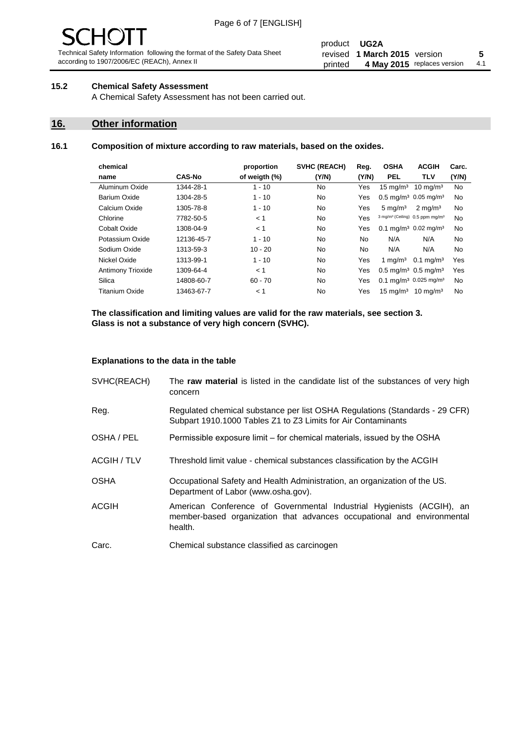# 10 J

Technical Safety Information following the format of the Safety Data Sheet according to 1907/2006/EC (REACh), Annex II

#### product **UG2A** revised **5 1 March 2015** version printed 4 May 2015 replaces version 4.1

# **15.2 Chemical Safety Assessment**

A Chemical Safety Assessment has not been carried out.

# **16. Other information**

## **16.1 Composition of mixture according to raw materials, based on the oxides.**

| chemical            |               | proportion    | <b>SVHC (REACH)</b> | Reg.      | <b>OSHA</b>                                             | <b>ACGIH</b>         | Carc. |
|---------------------|---------------|---------------|---------------------|-----------|---------------------------------------------------------|----------------------|-------|
| name                | <b>CAS-No</b> | of weigth (%) | (Y/N)               | (Y/N)     | <b>PEL</b>                                              | <b>TLV</b>           | (Y/N) |
| Aluminum Oxide      | 1344-28-1     | $1 - 10$      | No                  | Yes       | $15 \text{ mg/m}^3$                                     | $10 \text{ mg/m}^3$  | No    |
| <b>Barium Oxide</b> | 1304-28-5     | $1 - 10$      | No.                 | Yes       | $0.5 \text{ mg/m}^3$ 0.05 mg/m <sup>3</sup>             |                      | No    |
| Calcium Oxide       | 1305-78-8     | $1 - 10$      | No                  | Yes       | $5 \text{ mg/m}^3$                                      | $2 \text{ mg/m}^3$   | No    |
| Chlorine            | 7782-50-5     | < 1           | No.                 | Yes       | 3 mg/m <sup>3</sup> (Ceiling) 0.5 ppm mg/m <sup>3</sup> |                      | No    |
| Cobalt Oxide        | 1308-04-9     | < 1           | No                  | Yes       | 0.1 mg/m <sup>3</sup> 0.02 mg/m <sup>3</sup>            |                      | No    |
| Potassium Oxide     | 12136-45-7    | $1 - 10$      | No.                 | No.       | N/A                                                     | N/A                  | No    |
| Sodium Oxide        | 1313-59-3     | $10 - 20$     | <b>No</b>           | <b>No</b> | N/A                                                     | N/A                  | No    |
| Nickel Oxide        | 1313-99-1     | $1 - 10$      | No                  | Yes       | 1 mg/m $3$                                              | $0.1 \text{ mg/m}^3$ | Yes   |
| Antimony Trioxide   | 1309-64-4     | < 1           | No.                 | Yes       | $0.5 \text{ mg/m}^3$ 0.5 mg/m <sup>3</sup>              |                      | Yes   |
| Silica              | 14808-60-7    | $60 - 70$     | No.                 | Yes       | $0.1 \text{ mg/m}^3$ 0.025 mg/m <sup>3</sup>            |                      | No    |
| Titanium Oxide      | 13463-67-7    | < 1           | No                  | Yes       | $15 \text{ ma/m}^3$                                     | $10 \text{ ma/m}^3$  | No    |
|                     |               |               |                     |           |                                                         |                      |       |

**The classification and limiting values are valid for the raw materials, see section 3. Glass is not a substance of very high concern (SVHC).**

#### **Explanations to the data in the table**

| SVHC(REACH)        | The raw material is listed in the candidate list of the substances of very high<br>concern                                                                 |
|--------------------|------------------------------------------------------------------------------------------------------------------------------------------------------------|
| Reg.               | Regulated chemical substance per list OSHA Regulations (Standards - 29 CFR)<br>Subpart 1910.1000 Tables Z1 to Z3 Limits for Air Contaminants               |
| OSHA / PEL         | Permissible exposure limit – for chemical materials, issued by the OSHA                                                                                    |
| <b>ACGIH / TLV</b> | Threshold limit value - chemical substances classification by the ACGIH                                                                                    |
| <b>OSHA</b>        | Occupational Safety and Health Administration, an organization of the US.<br>Department of Labor (www.osha.gov).                                           |
| <b>ACGIH</b>       | American Conference of Governmental Industrial Hygienists (ACGIH), an<br>member-based organization that advances occupational and environmental<br>health. |
| Carc.              | Chemical substance classified as carcinogen                                                                                                                |